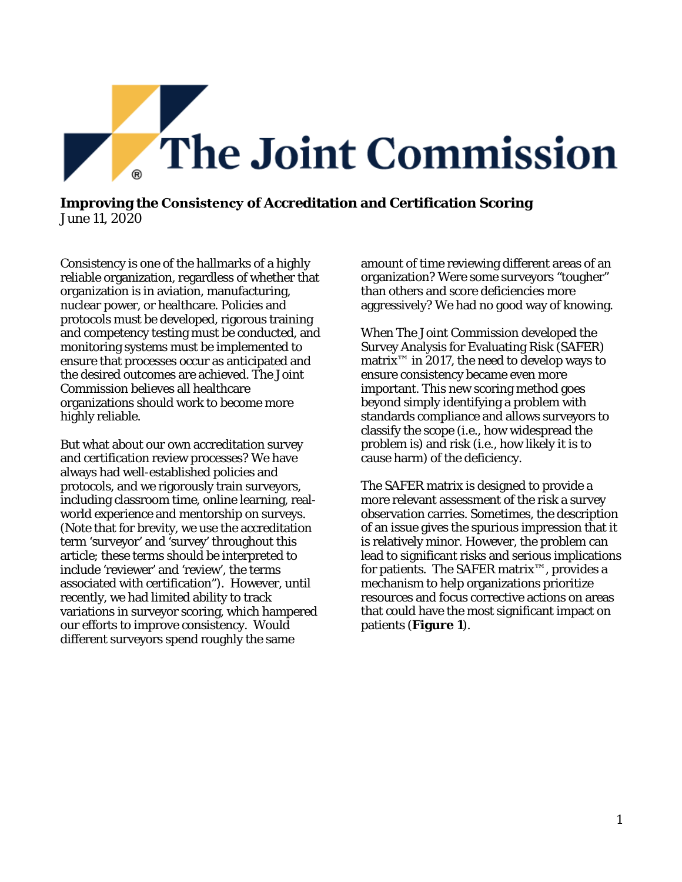

## **Improving the Consistency of Accreditation and Certification Scoring**  June 11, 2020

Consistency is one of the hallmarks of a highly reliable organization, regardless of whether that organization is in aviation, manufacturing, nuclear power, or healthcare. Policies and protocols must be developed, rigorous training and competency testing must be conducted, and monitoring systems must be implemented to ensure that processes occur as anticipated and the desired outcomes are achieved. The Joint Commission believes all healthcare organizations should work to become more highly reliable.

But what about our own accreditation survey and certification review processes? We have always had well-established policies and protocols, and we rigorously train surveyors, including classroom time, online learning, realworld experience and mentorship on surveys. (Note that for brevity, we use the accreditation term 'surveyor' and 'survey' throughout this article; these terms should be interpreted to include 'reviewer' and 'review', the terms associated with certification"). However, until recently, we had limited ability to track variations in surveyor scoring, which hampered our efforts to improve consistency. Would different surveyors spend roughly the same

amount of time reviewing different areas of an organization? Were some surveyors "tougher" than others and score deficiencies more aggressively? We had no good way of knowing.

When The Joint Commission developed the Survey Analysis for Evaluating Risk (SAFER) matrix™ in 2017, the need to develop ways to ensure consistency became even more important. This new scoring method goes beyond simply identifying a problem with standards compliance and allows surveyors to classify the scope (i.e., how widespread the problem is) and risk (i.e., how likely it is to cause harm) of the deficiency.

The SAFER matrix is designed to provide a more relevant assessment of the risk a survey observation carries. Sometimes, the description of an issue gives the spurious impression that it is relatively minor. However, the problem can lead to significant risks and serious implications for patients. The SAFER matrix™, provides a mechanism to help organizations prioritize resources and focus corrective actions on areas that could have the most significant impact on patients (**Figure 1**).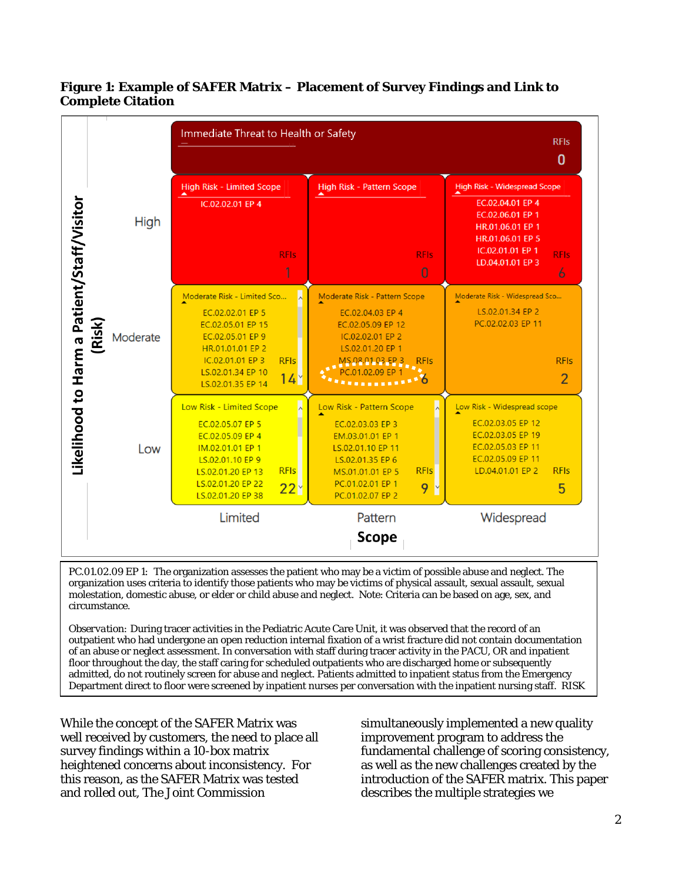|                                                                  | Immediate Threat to Health or Safety                                                                                                                                                                      |                                                                                                                                                                                                                       |                                                                                                                                                                                 |  |  |  |
|------------------------------------------------------------------|-----------------------------------------------------------------------------------------------------------------------------------------------------------------------------------------------------------|-----------------------------------------------------------------------------------------------------------------------------------------------------------------------------------------------------------------------|---------------------------------------------------------------------------------------------------------------------------------------------------------------------------------|--|--|--|
| <b>High</b>                                                      | <b>High Risk - Limited Scope</b><br>IC.02.02.01 EP 4<br><b>RFIs</b><br>1                                                                                                                                  | <b>High Risk - Pattern Scope</b><br><b>RFIs</b><br>$\overline{0}$                                                                                                                                                     | <b>High Risk - Widespread Scope</b><br>EC.02.04.01 EP 4<br>EC.02.06.01 EP 1<br>HR.01.06.01 EP 1<br>HR.01.06.01 EP 5<br>IC.02.01.01 EP 1<br><b>RFIs</b><br>LD.04.01.01 EP 3<br>6 |  |  |  |
| Likelihood to Harm a Patient/Staff/Visitor<br>(Risk)<br>Moderate | Moderate Risk - Limited Sco<br>EC.02.02.01 EP 5<br>EC.02.05.01 EP 15<br>EC.02.05.01 EP 9<br>HR.01.01.01 EP 2<br>IC.02.01.01 EP 3<br><b>RFIs</b><br>LS.02.01.34 EP 10<br>$14^{\circ}$<br>LS.02.01.35 EP 14 | Moderate Risk - Pattern Scope<br>EC.02.04.03 EP 4<br>EC.02.05.09 EP 12<br>IC.02.02.01 EP 2<br>LS.02.01.20 EP 1<br>MS.08.01.03 EP 3<br><b>RFIs</b><br>01.02.09 FP<br>$\bullet$ $\bullet$ $\bullet$                     | Moderate Risk - Widespread Sco<br>LS.02.01.34 EP 2<br>PC.02.02.03 EP 11<br><b>RFIs</b><br>$\overline{2}$                                                                        |  |  |  |
| Low                                                              | Low Risk - Limited Scope<br>EC.02.05.07 EP 5<br>EC.02.05.09 EP 4<br>IM.02.01.01 EP 1<br>LS.02.01.10 EP 9<br><b>RFIs</b><br>LS.02.01.20 EP 13<br>LS.02.01.20 EP 22<br>$22^{\circ}$<br>LS.02.01.20 EP 38    | $\overline{\phantom{a}}$<br>Low Risk - Pattern Scope<br>EC.02.03.03 EP 3<br>EM.03.01.01 EP 1<br>LS.02.01.10 EP 11<br>LS.02.01.35 EP 6<br><b>RFIs</b><br>MS.01.01.01 EP 5<br>PC.01.02.01 EP 1<br>9<br>PC.01.02.07 EP 2 | Low Risk - Widespread scope<br>EC.02.03.05 EP 12<br>EC.02.03.05 EP 19<br>EC.02.05.03 EP 11<br>EC.02.05.09 EP 11<br>LD.04.01.01 EP 2<br><b>RFIs</b><br>5                         |  |  |  |
|                                                                  | Limited                                                                                                                                                                                                   | Pattern<br><b>Scope</b>                                                                                                                                                                                               | Widespread                                                                                                                                                                      |  |  |  |

# **Figure 1: Example of SAFER Matrix – Placement of Survey Findings and Link to Complete Citation**

*PC.01.02.09 EP 1:* The organization assesses the patient who may be a victim of possible abuse and neglect. The organization uses criteria to identify those patients who may be victims of physical assault, sexual assault, sexual molestation, domestic abuse, or elder or child abuse and neglect. Note: Criteria can be based on age, sex, and circumstance.

*Observation:* During tracer activities in the Pediatric Acute Care Unit, it was observed that the record of an outpatient who had undergone an open reduction internal fixation of a wrist fracture did not contain documentation of an abuse or neglect assessment. In conversation with staff during tracer activity in the PACU, OR and inpatient floor throughout the day, the staff caring for scheduled outpatients who are discharged home or subsequently admitted, do not routinely screen for abuse and neglect. Patients admitted to inpatient status from the Emergency Department direct to floor were screened by inpatient nurses per conversation with the inpatient nursing staff. RISK

While the concept of the SAFER Matrix was well received by customers, the need to place all survey findings within a 10-box matrix heightened concerns about inconsistency. For this reason, as the SAFER Matrix was tested and rolled out, The Joint Commission

ׇ֖֖֖֚֚֚֡֬֞

simultaneously implemented a new quality improvement program to address the fundamental challenge of scoring consistency, as well as the new challenges created by the introduction of the SAFER matrix. This paper describes the multiple strategies we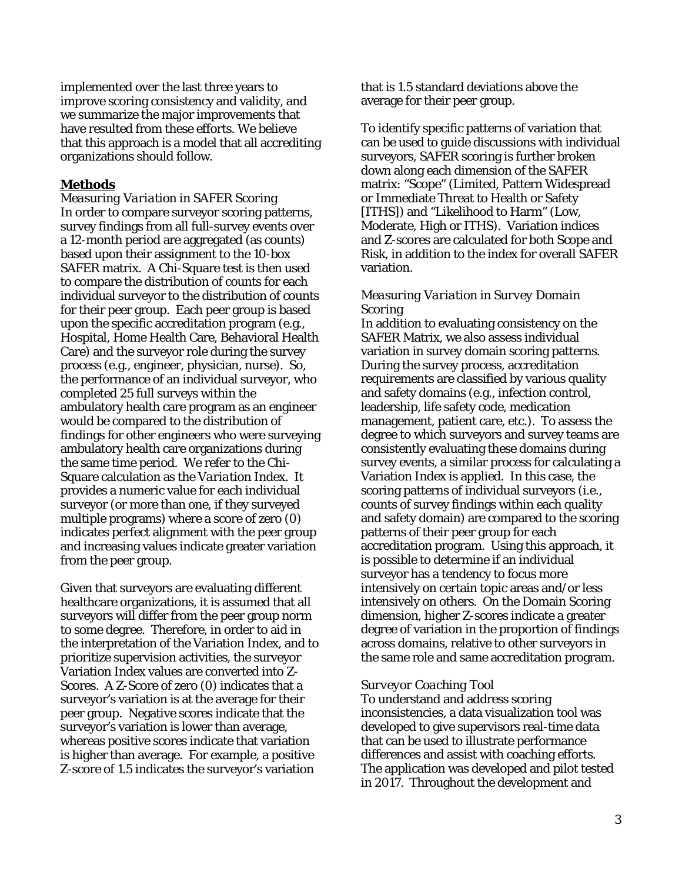implemented over the last three years to improve scoring consistency and validity, and we summarize the major improvements that have resulted from these efforts. We believe that this approach is a model that all accrediting organizations should follow.

#### **Methods**

*Measuring Variation in SAFER Scoring* In order to compare surveyor scoring patterns, survey findings from all full-survey events over a 12-month period are aggregated (as counts) based upon their assignment to the 10-box SAFER matrix. A Chi-Square test is then used to compare the distribution of counts for each individual surveyor to the distribution of counts for their peer group. Each peer group is based upon the specific accreditation program (e.g., Hospital, Home Health Care, Behavioral Health Care) and the surveyor role during the survey process (e.g., engineer, physician, nurse). So, the performance of an individual surveyor, who completed 25 full surveys within the ambulatory health care program as an engineer would be compared to the distribution of findings for other engineers who were surveying ambulatory health care organizations during the same time period. We refer to the Chi-Square calculation as the *Variation Index*. It provides a numeric value for each individual surveyor (or more than one, if they surveyed multiple programs) where a score of zero (0) indicates perfect alignment with the peer group and increasing values indicate greater variation from the peer group.

Given that surveyors are evaluating different healthcare organizations, it is assumed that all surveyors will differ from the peer group norm to some degree. Therefore, in order to aid in the interpretation of the Variation Index, and to prioritize supervision activities, the surveyor Variation Index values are converted into Z-Scores. A Z-Score of zero (0) indicates that a surveyor's variation is at the average for their peer group. Negative scores indicate that the surveyor's variation is lower than average, whereas positive scores indicate that variation is higher than average. For example, a positive Z-score of 1.5 indicates the surveyor's variation

that is 1.5 standard deviations above the average for their peer group.

To identify specific patterns of variation that can be used to guide discussions with individual surveyors, SAFER scoring is further broken down along each dimension of the SAFER matrix: "Scope" (Limited, Pattern Widespread or Immediate Threat to Health or Safety [ITHS]) and "Likelihood to Harm" (Low, Moderate, High or ITHS). Variation indices and Z-scores are calculated for both Scope and Risk, in addition to the index for overall SAFER variation.

#### *Measuring Variation in Survey Domain Scoring*

In addition to evaluating consistency on the SAFER Matrix, we also assess individual variation in survey domain scoring patterns. During the survey process, accreditation requirements are classified by various quality and safety domains (e.g., infection control, leadership, life safety code, medication management, patient care, etc.). To assess the degree to which surveyors and survey teams are consistently evaluating these domains during survey events, a similar process for calculating a Variation Index is applied. In this case, the scoring patterns of individual surveyors (i.e., counts of survey findings within each quality and safety domain) are compared to the scoring patterns of their peer group for each accreditation program. Using this approach, it is possible to determine if an individual surveyor has a tendency to focus more intensively on certain topic areas and/or less intensively on others. On the Domain Scoring dimension, higher Z-scores indicate a greater degree of variation in the proportion of findings across domains, relative to other surveyors in the same role and same accreditation program.

#### *Surveyor Coaching Tool*

To understand and address scoring inconsistencies, a data visualization tool was developed to give supervisors real-time data that can be used to illustrate performance differences and assist with coaching efforts. The application was developed and pilot tested in 2017. Throughout the development and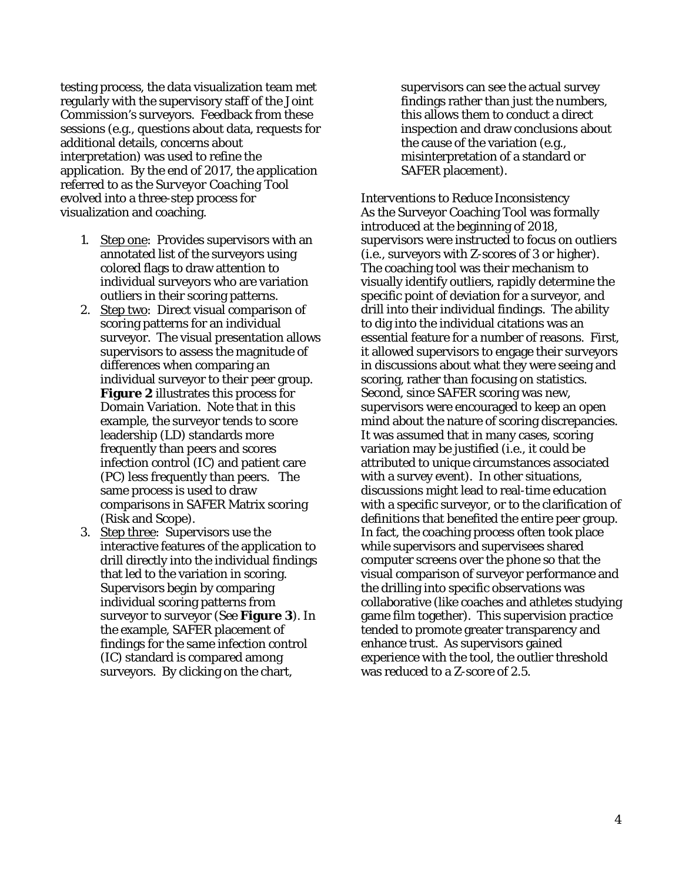testing process, the data visualization team met regularly with the supervisory staff of the Joint Commission's surveyors. Feedback from these sessions (e.g., questions about data, requests for additional details, concerns about interpretation) was used to refine the application. By the end of 2017, the application referred to as the *Surveyor Coaching Tool* evolved into a three-step process for visualization and coaching.

- 1. Step one: Provides supervisors with an annotated list of the surveyors using colored flags to draw attention to individual surveyors who are variation outliers in their scoring patterns.
- 2. Step two: Direct visual comparison of scoring patterns for an individual surveyor. The visual presentation allows supervisors to assess the magnitude of differences when comparing an individual surveyor to their peer group. **Figure 2** illustrates this process for Domain Variation. Note that in this example, the surveyor tends to score leadership (LD) standards more frequently than peers and scores infection control (IC) and patient care (PC) less frequently than peers. The same process is used to draw comparisons in SAFER Matrix scoring (Risk and Scope).
- 3. Step three: Supervisors use the interactive features of the application to drill directly into the individual findings that led to the variation in scoring. Supervisors begin by comparing individual scoring patterns from surveyor to surveyor (See **Figure 3**). In the example, SAFER placement of findings for the same infection control (IC) standard is compared among surveyors. By clicking on the chart,

supervisors can see the actual survey findings rather than just the numbers, this allows them to conduct a direct inspection and draw conclusions about the cause of the variation (e.g., misinterpretation of a standard or SAFER placement).

*Interventions to Reduce Inconsistency* As the Surveyor Coaching Tool was formally introduced at the beginning of 2018, supervisors were instructed to focus on outliers (i.e., surveyors with Z-scores of 3 or higher). The coaching tool was their mechanism to visually identify outliers, rapidly determine the specific point of deviation for a surveyor, and drill into their individual findings. The ability to dig into the individual citations was an essential feature for a number of reasons. First, it allowed supervisors to engage their surveyors in discussions about what they were seeing and scoring, rather than focusing on statistics. Second, since SAFER scoring was new, supervisors were encouraged to keep an open mind about the nature of scoring discrepancies. It was assumed that in many cases, scoring variation may be justified (i.e., it could be attributed to unique circumstances associated with a survey event). In other situations, discussions might lead to real-time education with a specific surveyor, or to the clarification of definitions that benefited the entire peer group. In fact, the coaching process often took place while supervisors and supervisees shared computer screens over the phone so that the visual comparison of surveyor performance and the drilling into specific observations was collaborative (like coaches and athletes studying game film together). This supervision practice tended to promote greater transparency and enhance trust. As supervisors gained experience with the tool, the outlier threshold was reduced to a Z-score of 2.5.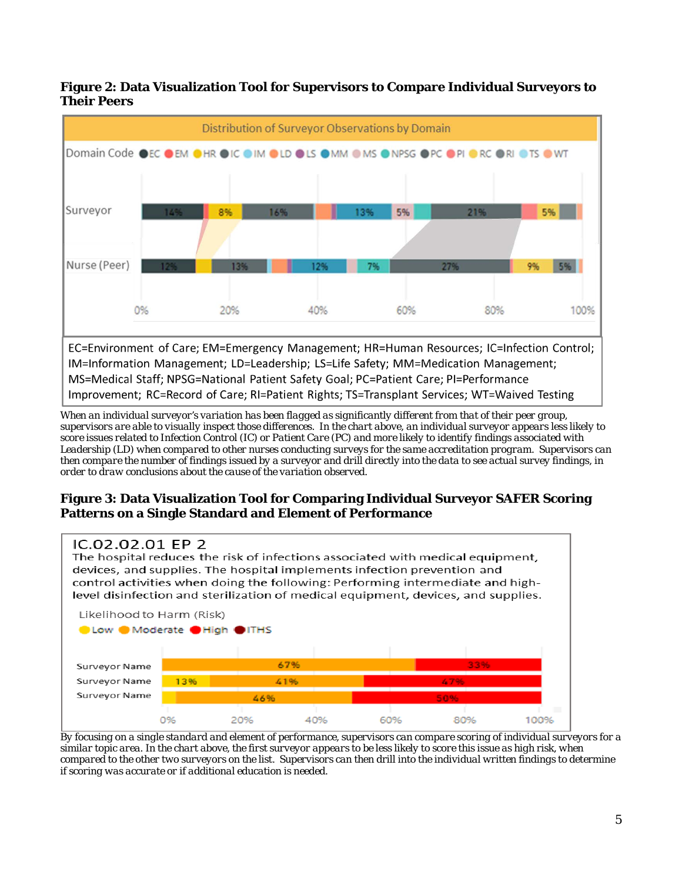



*When an individual surveyor's variation has been flagged as significantly different from that of their peer group, supervisors are able to visually inspect those differences. In the chart above, an individual surveyor appears less likely to score issues related to Infection Control (IC) or Patient Care (PC) and more likely to identify findings associated with Leadership (LD) when compared to other nurses conducting surveys for the same accreditation program. Supervisors can then compare the number of findings issued by a surveyor and drill directly into the data to see actual survey findings, in order to draw conclusions about the cause of the variation observed.* 

## **Figure 3: Data Visualization Tool for Comparing Individual Surveyor SAFER Scoring Patterns on a Single Standard and Element of Performance**



*By focusing on a single standard and element of performance, supervisors can compare scoring of individual surveyors for a similar topic area. In the chart above, the first surveyor appears to be less likely to score this issue as high risk, when compared to the other two surveyors on the list. Supervisors can then drill into the individual written findings to determine if scoring was accurate or if additional education is needed.*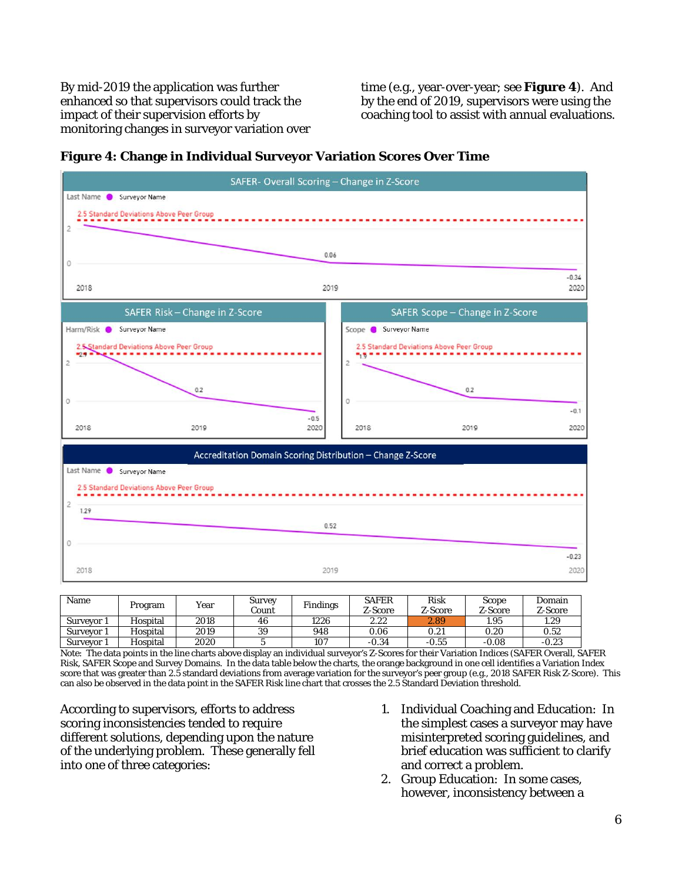By mid-2019 the application was further enhanced so that supervisors could track the impact of their supervision efforts by monitoring changes in surveyor variation over time (e.g., year-over-year; see **Figure 4**). And by the end of 2019, supervisors were using the coaching tool to assist with annual evaluations.





| Name       | Program  | Year | Survey<br>Count | <b>Findings</b> | <b>SAFER</b><br>Z-Score | Risk<br>Z-Score | Scope<br>Z-Score | Domain<br>Z-Score |
|------------|----------|------|-----------------|-----------------|-------------------------|-----------------|------------------|-------------------|
| Surveyor 1 | Hospital | 2018 | 46              | 1226            | 2.22                    | 2.89            | 1.95             | 1.29              |
| Survevor 1 | Hospital | 2019 | 39              | 948             | 0.06                    | $\rm 0.21$      | 0.20             | 0.52              |
| Surveyor 1 | Hospital | 2020 |                 | 107             | $-0.34$                 | $-0.55$         | $-0.08$          | $-0.23$           |

Note: The data points in the line charts above display an individual surveyor's Z-Scores for their Variation Indices (SAFER Overall, SAFER Risk, SAFER Scope and Survey Domains. In the data table below the charts, the orange background in one cell identifies a Variation Index score that was greater than 2.5 standard deviations from average variation for the surveyor's peer group (e.g., 2018 SAFER Risk Z-Score). This can also be observed in the data point in the SAFER Risk line chart that crosses the 2.5 Standard Deviation threshold.

According to supervisors, efforts to address scoring inconsistencies tended to require different solutions, depending upon the nature of the underlying problem. These generally fell into one of three categories:

- 1. Individual Coaching and Education: In the simplest cases a surveyor may have misinterpreted scoring guidelines, and brief education was sufficient to clarify and correct a problem.
- 2. Group Education: In some cases, however, inconsistency between a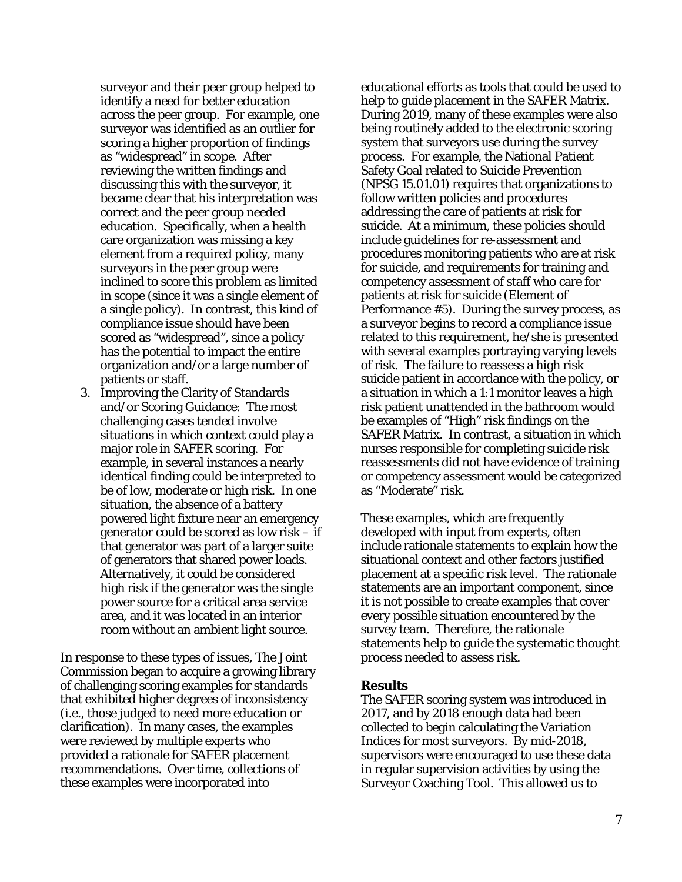surveyor and their peer group helped to identify a need for better education across the peer group. For example, one surveyor was identified as an outlier for scoring a higher proportion of findings as "widespread" in scope. After reviewing the written findings and discussing this with the surveyor, it became clear that his interpretation was correct and the peer group needed education. Specifically, when a health care organization was missing a key element from a required policy, many surveyors in the peer group were inclined to score this problem as limited in scope (since it was a single element of a single policy). In contrast, this kind of compliance issue should have been scored as "widespread", since a policy has the potential to impact the entire organization and/or a large number of patients or staff.

3. Improving the Clarity of Standards and/or Scoring Guidance: The most challenging cases tended involve situations in which context could play a major role in SAFER scoring. For example, in several instances a nearly identical finding could be interpreted to be of low, moderate or high risk. In one situation, the absence of a battery powered light fixture near an emergency generator could be scored as low risk – if that generator was part of a larger suite of generators that shared power loads. Alternatively, it could be considered high risk if the generator was the single power source for a critical area service area, and it was located in an interior room without an ambient light source.

In response to these types of issues, The Joint Commission began to acquire a growing library of challenging scoring examples for standards that exhibited higher degrees of inconsistency (i.e., those judged to need more education or clarification). In many cases, the examples were reviewed by multiple experts who provided a rationale for SAFER placement recommendations. Over time, collections of these examples were incorporated into

educational efforts as tools that could be used to help to guide placement in the SAFER Matrix. During 2019, many of these examples were also being routinely added to the electronic scoring system that surveyors use during the survey process. For example, the National Patient Safety Goal related to Suicide Prevention (NPSG 15.01.01) requires that organizations to follow written policies and procedures addressing the care of patients at risk for suicide. At a minimum, these policies should include guidelines for re-assessment and procedures monitoring patients who are at risk for suicide, and requirements for training and competency assessment of staff who care for patients at risk for suicide (Element of Performance #5). During the survey process, as a surveyor begins to record a compliance issue related to this requirement, he/she is presented with several examples portraying varying levels of risk. The failure to reassess a high risk suicide patient in accordance with the policy, or a situation in which a 1:1 monitor leaves a high risk patient unattended in the bathroom would be examples of "High" risk findings on the SAFER Matrix. In contrast, a situation in which nurses responsible for completing suicide risk reassessments did not have evidence of training or competency assessment would be categorized as "Moderate" risk.

These examples, which are frequently developed with input from experts, often include rationale statements to explain how the situational context and other factors justified placement at a specific risk level. The rationale statements are an important component, since it is not possible to create examples that cover every possible situation encountered by the survey team. Therefore, the rationale statements help to guide the systematic thought process needed to assess risk.

#### **Results**

The SAFER scoring system was introduced in 2017, and by 2018 enough data had been collected to begin calculating the Variation Indices for most surveyors. By mid-2018, supervisors were encouraged to use these data in regular supervision activities by using the Surveyor Coaching Tool. This allowed us to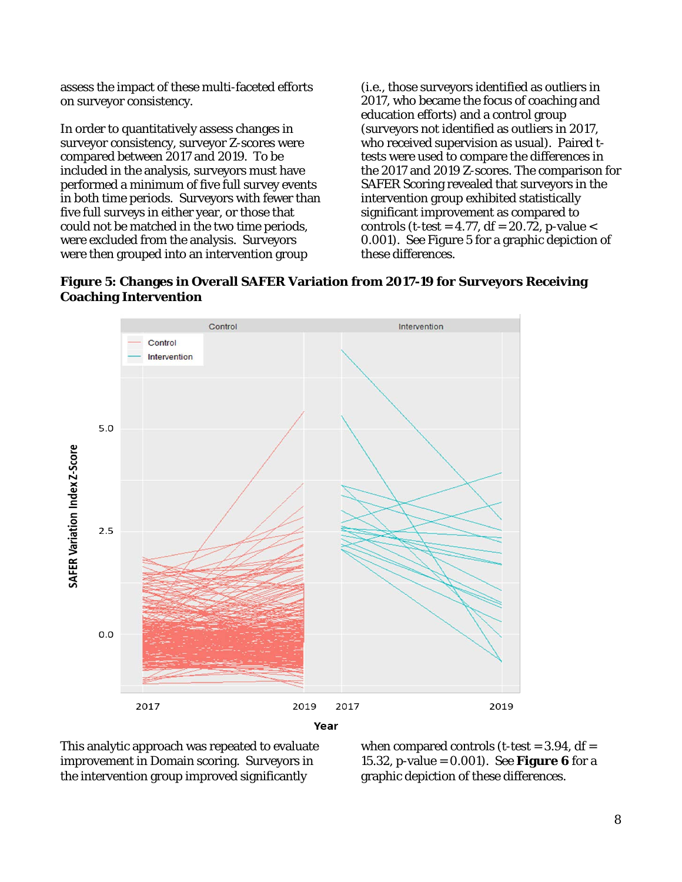assess the impact of these multi-faceted efforts on surveyor consistency.

In order to quantitatively assess changes in surveyor consistency, surveyor Z-scores were compared between 2017 and 2019. To be included in the analysis, surveyors must have performed a minimum of five full survey events in both time periods. Surveyors with fewer than five full surveys in either year, or those that could not be matched in the two time periods, were excluded from the analysis. Surveyors were then grouped into an intervention group

(i.e., those surveyors identified as outliers in 2017, who became the focus of coaching and education efforts) and a control group (surveyors not identified as outliers in 2017, who received supervision as usual). Paired ttests were used to compare the differences in the 2017 and 2019 Z-scores. The comparison for SAFER Scoring revealed that surveyors in the intervention group exhibited statistically significant improvement as compared to controls (t-test =  $4.77$ , df =  $20.72$ , p-value < 0.001). See Figure 5 for a graphic depiction of these differences.

**Figure 5: Changes in Overall SAFER Variation from 2017-19 for Surveyors Receiving Coaching Intervention**



This analytic approach was repeated to evaluate improvement in Domain scoring. Surveyors in the intervention group improved significantly

when compared controls (t-test  $= 3.94$ , df  $=$ 15.32, p-value = 0.001). See **Figure 6** for a graphic depiction of these differences.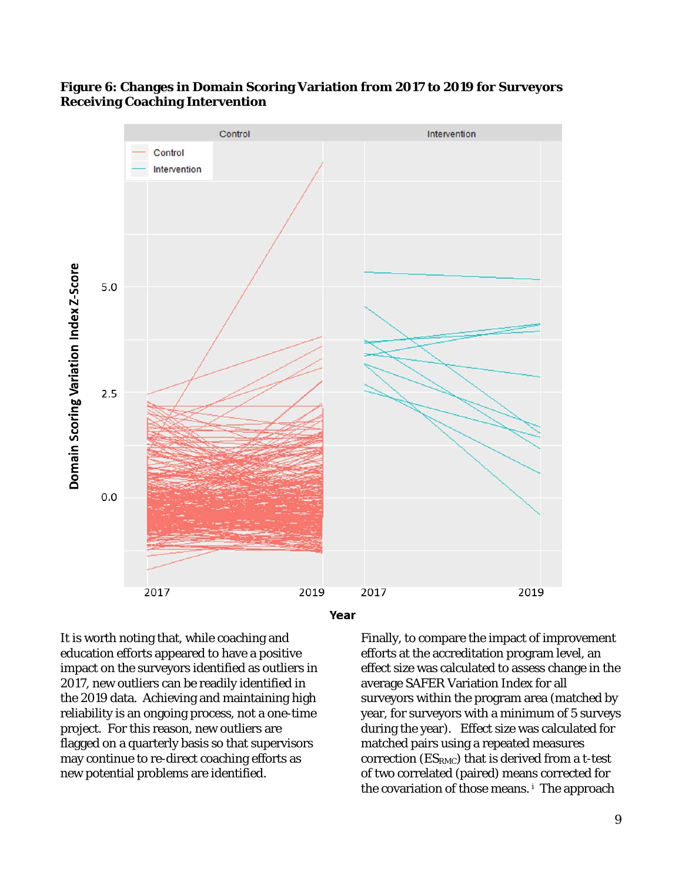

## **Figure 6: Changes in Domain Scoring Variation from 2017 to 2019 for Surveyors Receiving Coaching Intervention**



It is worth noting that, while coaching and education efforts appeared to have a positive impact on the surveyors identified as outliers in 2017, new outliers can be readily identified in the 2019 data. Achieving and maintaining high reliability is an ongoing process, not a one-time project. For this reason, new outliers are flagged on a quarterly basis so that supervisors may continue to re-direct coaching efforts as new potential problems are identified.

Finally, to compare the impact of improvement efforts at the accreditation program level, an effect size was calculated to assess change in the average SAFER Variation Index for all surveyors within the program area (matched by year, for surveyors with a minimum of 5 surveys during the year). Effect size was calculated for matched pairs using a repeated measures correction (ESRMC) that is derived from a t-test of two correlated (paired) means corrected for the covariation of those means. [i](#page-10-0) The approach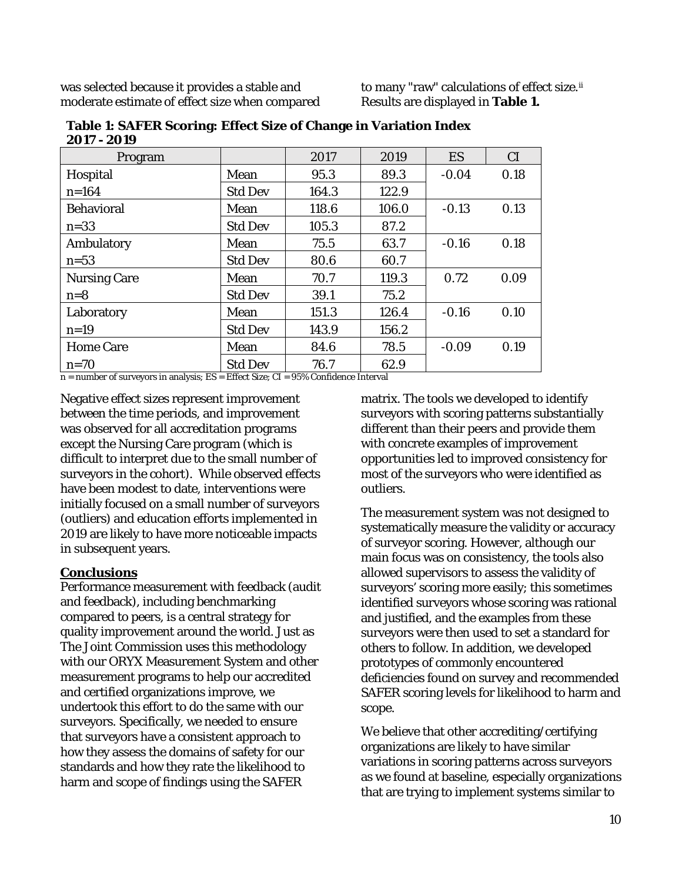was selected because it provides a stable and moderate estimate of effect size when compared

to many "raw" calculations of effect size.[ii](#page-10-1) Results are displayed in **Table 1.**

| Program             |                | 2017  | 2019  | ES      | CI   |
|---------------------|----------------|-------|-------|---------|------|
| Hospital            | Mean           | 95.3  | 89.3  | $-0.04$ | 0.18 |
| $n = 164$           | <b>Std Dev</b> | 164.3 | 122.9 |         |      |
| <b>Behavioral</b>   | Mean           | 118.6 | 106.0 | $-0.13$ | 0.13 |
| $n=33$              | <b>Std Dev</b> | 105.3 | 87.2  |         |      |
| Ambulatory          | Mean           | 75.5  | 63.7  | $-0.16$ | 0.18 |
| $n=53$              | <b>Std Dev</b> | 80.6  | 60.7  |         |      |
| <b>Nursing Care</b> | Mean           | 70.7  | 119.3 | 0.72    | 0.09 |
| $n=8$               | <b>Std Dev</b> | 39.1  | 75.2  |         |      |
| Laboratory          | Mean           | 151.3 | 126.4 | $-0.16$ | 0.10 |
| $n=19$              | <b>Std Dev</b> | 143.9 | 156.2 |         |      |
| <b>Home Care</b>    | Mean           | 84.6  | 78.5  | $-0.09$ | 0.19 |
| $n=70$              | <b>Std Dev</b> | 76.7  | 62.9  |         |      |

**Table 1: SAFER Scoring: Effect Size of Change in Variation Index 2017 - 2019**

n = number of surveyors in analysis; ES = Effect Size; CI = 95% Confidence Interval

Negative effect sizes represent improvement between the time periods, and improvement was observed for all accreditation programs except the Nursing Care program (which is difficult to interpret due to the small number of surveyors in the cohort). While observed effects have been modest to date, interventions were initially focused on a small number of surveyors (outliers) and education efforts implemented in 2019 are likely to have more noticeable impacts in subsequent years.

#### **Conclusions**

Performance measurement with feedback (audit and feedback), including benchmarking compared to peers, is a central strategy for quality improvement around the world. Just as The Joint Commission uses this methodology with our ORYX Measurement System and other measurement programs to help our accredited and certified organizations improve, we undertook this effort to do the same with our surveyors. Specifically, we needed to ensure that surveyors have a consistent approach to how they assess the domains of safety for our standards and how they rate the likelihood to harm and scope of findings using the SAFER

matrix. The tools we developed to identify surveyors with scoring patterns substantially different than their peers and provide them with concrete examples of improvement opportunities led to improved consistency for most of the surveyors who were identified as outliers.

The measurement system was not designed to systematically measure the validity or accuracy of surveyor scoring. However, although our main focus was on consistency, the tools also allowed supervisors to assess the validity of surveyors' scoring more easily; this sometimes identified surveyors whose scoring was rational and justified, and the examples from these surveyors were then used to set a standard for others to follow. In addition, we developed prototypes of commonly encountered deficiencies found on survey and recommended SAFER scoring levels for likelihood to harm and scope.

We believe that other accrediting/certifying organizations are likely to have similar variations in scoring patterns across surveyors as we found at baseline, especially organizations that are trying to implement systems similar to